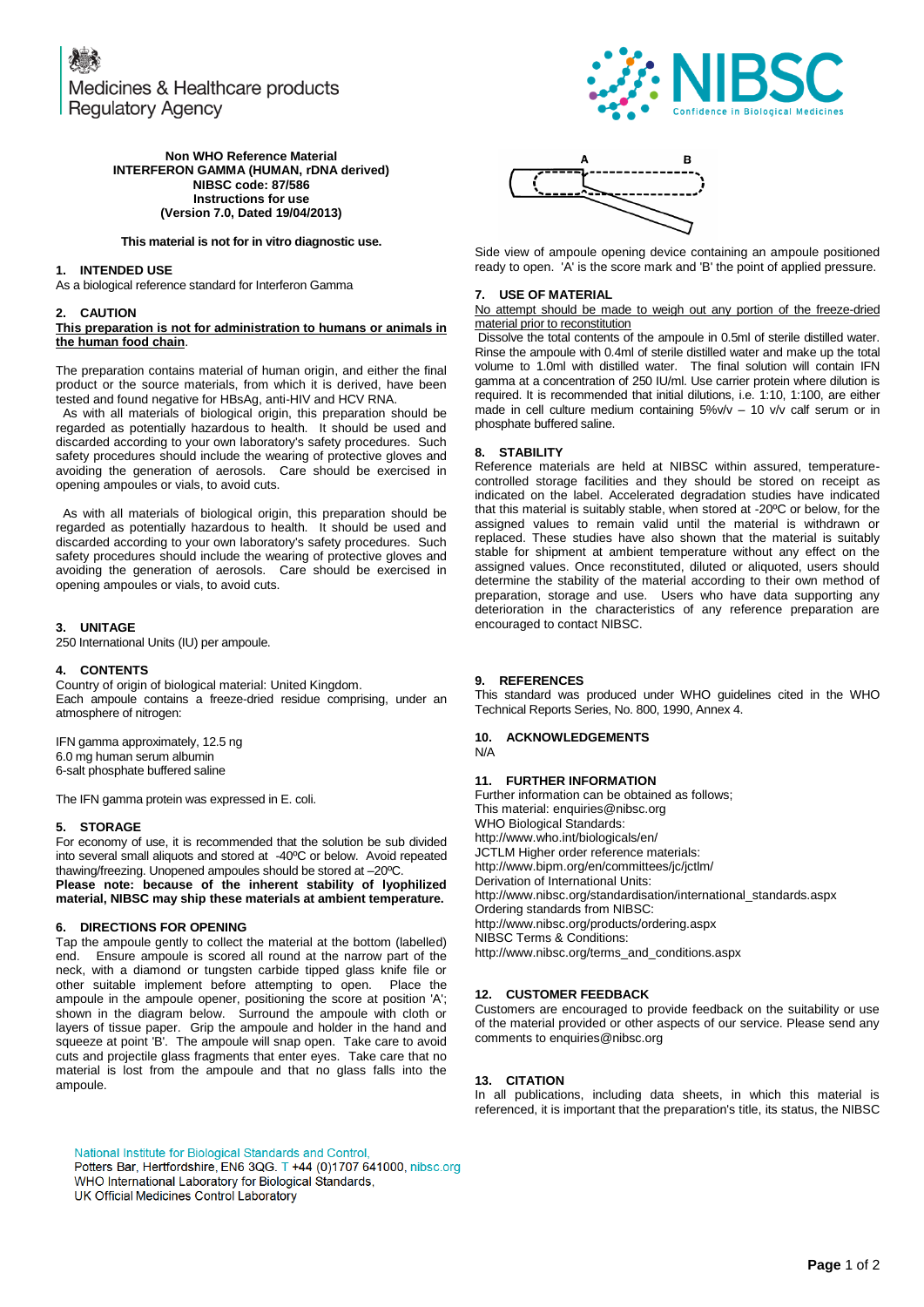Medicines & Healthcare products **Regulatory Agency** 



# **Non WHO Reference Material INTERFERON GAMMA (HUMAN, rDNA derived) NIBSC code: 87/586 Instructions for use (Version 7.0, Dated 19/04/2013)**

#### **This material is not for in vitro diagnostic use.**

# **1. INTENDED USE**

As a biological reference standard for Interferon Gamma

#### **2. CAUTION**

# **This preparation is not for administration to humans or animals in the human food chain**.

The preparation contains material of human origin, and either the final product or the source materials, from which it is derived, have been tested and found negative for HBsAg, anti-HIV and HCV RNA.

 As with all materials of biological origin, this preparation should be regarded as potentially hazardous to health. It should be used and discarded according to your own laboratory's safety procedures. Such safety procedures should include the wearing of protective gloves and avoiding the generation of aerosols. Care should be exercised in opening ampoules or vials, to avoid cuts.

 As with all materials of biological origin, this preparation should be regarded as potentially hazardous to health. It should be used and discarded according to your own laboratory's safety procedures. Such safety procedures should include the wearing of protective gloves and avoiding the generation of aerosols. Care should be exercised in opening ampoules or vials, to avoid cuts.

## **3. UNITAGE**

250 International Units (IU) per ampoule.

## **4. CONTENTS**

Country of origin of biological material: United Kingdom. Each ampoule contains a freeze-dried residue comprising, under an atmosphere of nitrogen:

IFN gamma approximately, 12.5 ng 6.0 mg human serum albumin 6-salt phosphate buffered saline

The IFN gamma protein was expressed in E. coli.

## **5. STORAGE**

For economy of use, it is recommended that the solution be sub divided into several small aliquots and stored at -40ºC or below. Avoid repeated thawing/freezing. Unopened ampoules should be stored at –20ºC.

**Please note: because of the inherent stability of lyophilized material, NIBSC may ship these materials at ambient temperature.**

# **6. DIRECTIONS FOR OPENING**

Tap the ampoule gently to collect the material at the bottom (labelled) end. Ensure ampoule is scored all round at the narrow part of the neck, with a diamond or tungsten carbide tipped glass knife file or other suitable implement before attempting to open. Place the ampoule in the ampoule opener, positioning the score at position 'A'; shown in the diagram below. Surround the ampoule with cloth or layers of tissue paper. Grip the ampoule and holder in the hand and squeeze at point 'B'. The ampoule will snap open. Take care to avoid cuts and projectile glass fragments that enter eyes. Take care that no material is lost from the ampoule and that no glass falls into the ampoule.

National Institute for Biological Standards and Control, Potters Bar, Hertfordshire, EN6 3QG. T +44 (0)1707 641000, nibsc.org WHO International Laboratory for Biological Standards, UK Official Medicines Control Laboratory



Side view of ampoule opening device containing an ampoule positioned ready to open. 'A' is the score mark and 'B' the point of applied pressure.

# **7. USE OF MATERIAL**

No attempt should be made to weigh out any portion of the freeze-dried material prior to reconstitution

Dissolve the total contents of the ampoule in 0.5ml of sterile distilled water. Rinse the ampoule with 0.4ml of sterile distilled water and make up the total volume to 1.0ml with distilled water. The final solution will contain IFN gamma at a concentration of 250 IU/ml. Use carrier protein where dilution is required. It is recommended that initial dilutions, i.e. 1:10, 1:100, are either made in cell culture medium containing 5%v/v – 10 v/v calf serum or in phosphate buffered saline.

#### **8. STABILITY**

Reference materials are held at NIBSC within assured, temperaturecontrolled storage facilities and they should be stored on receipt as indicated on the label. Accelerated degradation studies have indicated that this material is suitably stable, when stored at -20ºC or below, for the assigned values to remain valid until the material is withdrawn or replaced. These studies have also shown that the material is suitably stable for shipment at ambient temperature without any effect on the assigned values. Once reconstituted, diluted or aliquoted, users should determine the stability of the material according to their own method of preparation, storage and use. Users who have data supporting any deterioration in the characteristics of any reference preparation are encouraged to contact NIBSC.

#### **9. REFERENCES**

This standard was produced under WHO guidelines cited in the WHO Technical Reports Series, No. 800, 1990, Annex 4.

# **10. ACKNOWLEDGEMENTS**

N/A

# **11. FURTHER INFORMATION**

Further information can be obtained as follows; This material[: enquiries@nibsc.org](mailto:enquiries@nibsc.org) WHO Biological Standards: <http://www.who.int/biologicals/en/> JCTLM Higher order reference materials: <http://www.bipm.org/en/committees/jc/jctlm/> Derivation of International Units: [http://www.nibsc.org/standardisation/international\\_standards.aspx](http://www.nibsc.org/standardisation/international_standards.aspx) Ordering standards from NIBSC: <http://www.nibsc.org/products/ordering.aspx> NIBSC Terms & Conditions: [http://www.nibsc.org/terms\\_and\\_conditions.aspx](http://www.nibsc.ac.uk/terms_and_conditions.aspx)

# **12. CUSTOMER FEEDBACK**

Customers are encouraged to provide feedback on the suitability or use of the material provided or other aspects of our service. Please send any comments t[o enquiries@nibsc.org](mailto:enquiries@nibsc.org)

# **13. CITATION**

In all publications, including data sheets, in which this material is referenced, it is important that the preparation's title, its status, the NIBSC